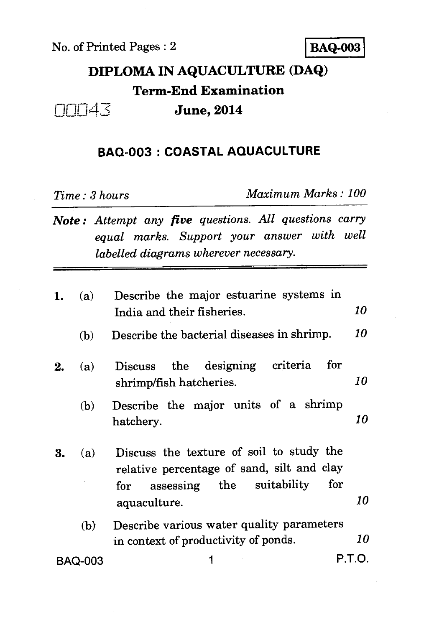No. of Printed Pages : 2 **BAQ-003** 

## **DIPLOMA IN AQUACULTURE (DAQ) Term-End Examination**   $\Box \Box \Box 4\overline{\triangle}$  **June, 2014**

## **BAQ-003 : COASTAL AQUACULTURE**

*Time : 3 hours Maximum Marks : 100* 

*Note : Attempt any five questions. All questions carry equal marks. Support your answer with well labelled diagrams wherever necessary.* 

| 1.             | (a) | Describe the major estuarine systems in                                                                                           | 10     |
|----------------|-----|-----------------------------------------------------------------------------------------------------------------------------------|--------|
|                |     | India and their fisheries.                                                                                                        |        |
|                | (b) | Describe the bacterial diseases in shrimp.                                                                                        | 10     |
| 2.             | (a) | criteria<br>for<br>the designing<br><b>Discuss</b><br>shrimp/fish hatcheries.                                                     | 10     |
|                | (b) | Describe the major units of a shrimp<br>hatchery.                                                                                 | 10     |
| 3.             | (a) | Discuss the texture of soil to study the<br>relative percentage of sand, silt and clay<br>assessing the suitability<br>for<br>for |        |
|                |     | aquaculture.                                                                                                                      | 10     |
|                | (b) | Describe various water quality parameters<br>in context of productivity of ponds.                                                 | 10     |
| <b>BAQ-003</b> |     |                                                                                                                                   | P.T.O. |